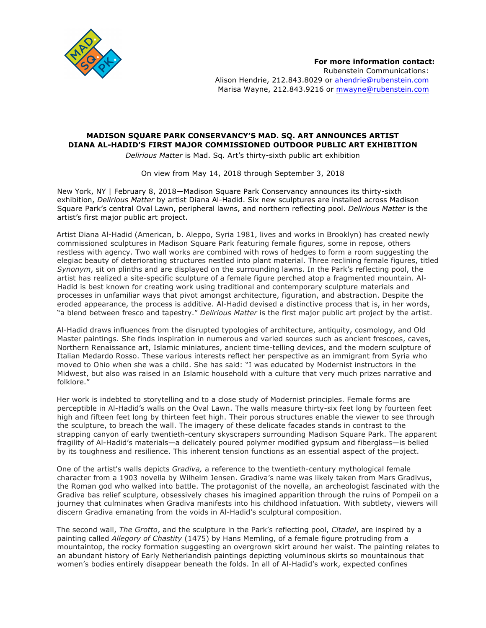

# **MADISON SQUARE PARK CONSERVANCY'S MAD. SQ. ART ANNOUNCES ARTIST DIANA AL-HADID'S FIRST MAJOR COMMISSIONED OUTDOOR PUBLIC ART EXHIBITION**

*Delirious Matter* is Mad. Sq. Art's thirty-sixth public art exhibition

On view from May 14, 2018 through September 3, 2018

New York, NY | February 8, 2018—Madison Square Park Conservancy announces its thirty-sixth exhibition, *Delirious Matter* by artist Diana Al-Hadid. Six new sculptures are installed across Madison Square Park's central Oval Lawn, peripheral lawns, and northern reflecting pool. *Delirious Matter* is the artist's first major public art project.

Artist Diana Al-Hadid (American, b. Aleppo, Syria 1981, lives and works in Brooklyn) has created newly commissioned sculptures in Madison Square Park featuring female figures, some in repose, others restless with agency. Two wall works are combined with rows of hedges to form a room suggesting the elegiac beauty of deteriorating structures nestled into plant material. Three reclining female figures, titled *Synonym*, sit on plinths and are displayed on the surrounding lawns. In the Park's reflecting pool, the artist has realized a site-specific sculpture of a female figure perched atop a fragmented mountain. Al-Hadid is best known for creating work using traditional and contemporary sculpture materials and processes in unfamiliar ways that pivot amongst architecture, figuration, and abstraction. Despite the eroded appearance, the process is additive. Al-Hadid devised a distinctive process that is, in her words, "a blend between fresco and tapestry." *Delirious Matter* is the first major public art project by the artist.

Al-Hadid draws influences from the disrupted typologies of architecture, antiquity, cosmology, and Old Master paintings. She finds inspiration in numerous and varied sources such as ancient frescoes, caves, Northern Renaissance art, Islamic miniatures, ancient time-telling devices, and the modern sculpture of Italian Medardo Rosso. These various interests reflect her perspective as an immigrant from Syria who moved to Ohio when she was a child. She has said: "I was educated by Modernist instructors in the Midwest, but also was raised in an Islamic household with a culture that very much prizes narrative and folklore."

Her work is indebted to storytelling and to a close study of Modernist principles. Female forms are perceptible in Al-Hadid's walls on the Oval Lawn. The walls measure thirty-six feet long by fourteen feet high and fifteen feet long by thirteen feet high. Their porous structures enable the viewer to see through the sculpture, to breach the wall. The imagery of these delicate facades stands in contrast to the strapping canyon of early twentieth-century skyscrapers surrounding Madison Square Park. The apparent fragility of Al-Hadid's materials—a delicately poured polymer modified gypsum and fiberglass—is belied by its toughness and resilience. This inherent tension functions as an essential aspect of the project.

One of the artist's walls depicts *Gradiva,* a reference to the twentieth-century mythological female character from a 1903 novella by Wilhelm Jensen. Gradiva's name was likely taken from Mars Gradivus, the Roman god who walked into battle. The protagonist of the novella, an archeologist fascinated with the Gradiva bas relief sculpture, obsessively chases his imagined apparition through the ruins of Pompeii on a journey that culminates when Gradiva manifests into his childhood infatuation. With subtlety, viewers will discern Gradiva emanating from the voids in Al-Hadid's sculptural composition.

The second wall, *The Grotto*, and the sculpture in the Park's reflecting pool, *Citadel*, are inspired by a painting called *Allegory of Chastity* (1475) by Hans Memling, of a female figure protruding from a mountaintop, the rocky formation suggesting an overgrown skirt around her waist. The painting relates to an abundant history of Early Netherlandish paintings depicting voluminous skirts so mountainous that women's bodies entirely disappear beneath the folds. In all of Al-Hadid's work, expected confines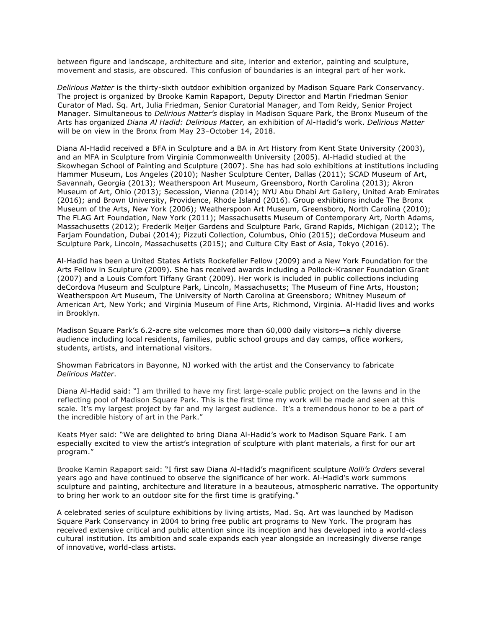between figure and landscape, architecture and site, interior and exterior, painting and sculpture, movement and stasis, are obscured. This confusion of boundaries is an integral part of her work.

*Delirious Matter* is the thirty-sixth outdoor exhibition organized by Madison Square Park Conservancy. The project is organized by Brooke Kamin Rapaport, Deputy Director and Martin Friedman Senior Curator of Mad. Sq. Art, Julia Friedman, Senior Curatorial Manager, and Tom Reidy, Senior Project Manager. Simultaneous to *Delirious Matter's* display in Madison Square Park, the Bronx Museum of the Arts has organized *Diana Al Hadid: Delirious Matter,* an exhibition of Al-Hadid's work. *Delirious Matter* will be on view in the Bronx from May 23–October 14, 2018.

Diana Al-Hadid received a BFA in Sculpture and a BA in Art History from Kent State University (2003), and an MFA in Sculpture from Virginia Commonwealth University (2005). Al-Hadid studied at the Skowhegan School of Painting and Sculpture (2007). She has had solo exhibitions at institutions including Hammer Museum, Los Angeles (2010); Nasher Sculpture Center, Dallas (2011); SCAD Museum of Art, Savannah, Georgia (2013); Weatherspoon Art Museum, Greensboro, North Carolina (2013); Akron Museum of Art, Ohio (2013); Secession, Vienna (2014); NYU Abu Dhabi Art Gallery, United Arab Emirates (2016); and Brown University, Providence, Rhode Island (2016). Group exhibitions include The Bronx Museum of the Arts, New York (2006); Weatherspoon Art Museum, Greensboro, North Carolina (2010); The FLAG Art Foundation, New York (2011); Massachusetts Museum of Contemporary Art, North Adams, Massachusetts (2012); Frederik Meijer Gardens and Sculpture Park, Grand Rapids, Michigan (2012); The Farjam Foundation, Dubai (2014); Pizzuti Collection, Columbus, Ohio (2015); deCordova Museum and Sculpture Park, Lincoln, Massachusetts (2015); and Culture City East of Asia, Tokyo (2016).

Al-Hadid has been a United States Artists Rockefeller Fellow (2009) and a New York Foundation for the Arts Fellow in Sculpture (2009). She has received awards including a Pollock-Krasner Foundation Grant (2007) and a Louis Comfort Tiffany Grant (2009). Her work is included in public collections including deCordova Museum and Sculpture Park, Lincoln, Massachusetts; The Museum of Fine Arts, Houston; Weatherspoon Art Museum, The University of North Carolina at Greensboro; Whitney Museum of American Art, New York; and Virginia Museum of Fine Arts, Richmond, Virginia. Al-Hadid lives and works in Brooklyn.

Madison Square Park's 6.2-acre site welcomes more than 60,000 daily visitors—a richly diverse audience including local residents, families, public school groups and day camps, office workers, students, artists, and international visitors.

Showman Fabricators in Bayonne, NJ worked with the artist and the Conservancy to fabricate *Delirious Matter*.

Diana Al-Hadid said: "I am thrilled to have my first large-scale public project on the lawns and in the reflecting pool of Madison Square Park. This is the first time my work will be made and seen at this scale. It's my largest project by far and my largest audience. It's a tremendous honor to be a part of the incredible history of art in the Park."

Keats Myer said: "We are delighted to bring Diana Al-Hadid's work to Madison Square Park. I am especially excited to view the artist's integration of sculpture with plant materials, a first for our art program."

Brooke Kamin Rapaport said: "I first saw Diana Al-Hadid's magnificent sculpture *Nolli's Orders* several years ago and have continued to observe the significance of her work. Al-Hadid's work summons sculpture and painting, architecture and literature in a beauteous, atmospheric narrative. The opportunity to bring her work to an outdoor site for the first time is gratifying."

A celebrated series of sculpture exhibitions by living artists, Mad. Sq. Art was launched by Madison Square Park Conservancy in 2004 to bring free public art programs to New York. The program has received extensive critical and public attention since its inception and has developed into a world-class cultural institution. Its ambition and scale expands each year alongside an increasingly diverse range of innovative, world-class artists.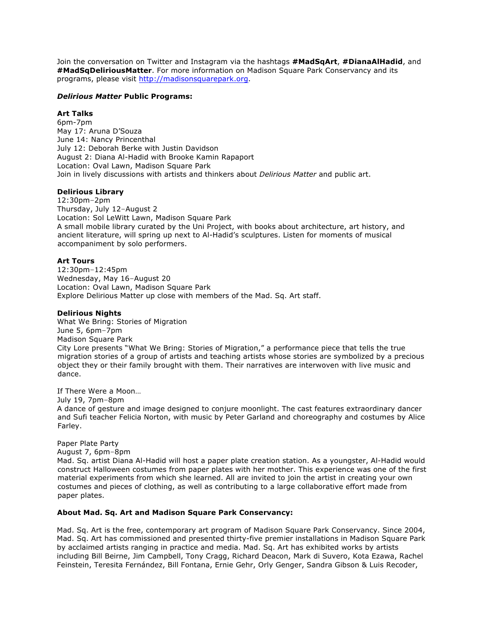Join the conversation on Twitter and Instagram via the hashtags **#MadSqArt**, **#DianaAlHadid**, and **#MadSqDeliriousMatter**. For more information on Madison Square Park Conservancy and its programs, please visit [http://madisonsquarepark.org](http://madisonsquarepark.org/).

#### *Delirious Matter* **Public Programs:**

## **Art Talks**

6pm-7pm May 17: Aruna D'Souza June 14: Nancy Princenthal July 12: Deborah Berke with Justin Davidson August 2: Diana Al-Hadid with Brooke Kamin Rapaport Location: Oval Lawn, Madison Square Park Join in lively discussions with artists and thinkers about *Delirious Matter* and public art.

### **Delirious Library**

12:30pm–2pm Thursday, July 12–August 2 Location: Sol LeWitt Lawn, Madison Square Park A small mobile library curated by the Uni Project, with books about architecture, art history, and ancient literature, will spring up next to Al-Hadid's sculptures. Listen for moments of musical accompaniment by solo performers.

### **Art Tours**

12:30pm–12:45pm Wednesday, May 16–August 20 Location: Oval Lawn, Madison Square Park Explore Delirious Matter up close with members of the Mad. Sq. Art staff.

#### **Delirious Nights**

What We Bring: Stories of Migration June 5, 6pm–7pm Madison Square Park City Lore presents "What We Bring: Stories of Migration," a performance piece that tells the true migration stories of a group of artists and teaching artists whose stories are symbolized by a precious object they or their family brought with them. Their narratives are interwoven with live music and dance.

If There Were a Moon…

July 19, 7pm–8pm

A dance of gesture and image designed to conjure moonlight. The cast features extraordinary dancer and Sufi teacher Felicia Norton, with music by Peter Garland and choreography and costumes by Alice Farley.

## Paper Plate Party

#### August 7, 6pm–8pm

Mad. Sq. artist Diana Al-Hadid will host a paper plate creation station. As a youngster, Al-Hadid would construct Halloween costumes from paper plates with her mother. This experience was one of the first material experiments from which she learned. All are invited to join the artist in creating your own costumes and pieces of clothing, as well as contributing to a large collaborative effort made from paper plates.

#### **About Mad. Sq. Art and Madison Square Park Conservancy:**

Mad. Sq. Art is the free, contemporary art program of Madison Square Park Conservancy. Since 2004, Mad. Sq. Art has commissioned and presented thirty-five premier installations in Madison Square Park by acclaimed artists ranging in practice and media. Mad. Sq. Art has exhibited works by artists including Bill Beirne, Jim Campbell, Tony Cragg, Richard Deacon, Mark di Suvero, Kota Ezawa, Rachel Feinstein, Teresita Fernández, Bill Fontana, Ernie Gehr, Orly Genger, Sandra Gibson & Luis Recoder,